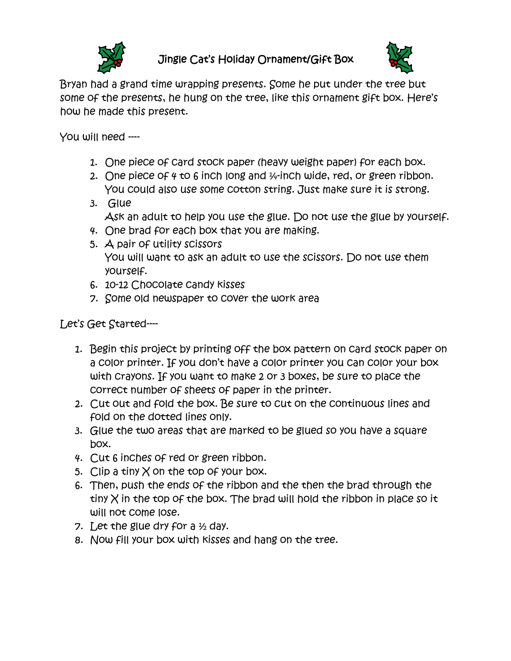

## Jingle Cat's Holiday Ornament/Gift Box



Bryan had a grand time wrapping presents. Some he put under the tree but some of the presents, he hung on the tree, like this ornament gift box. Here's how he made this present.

You will need ----

- 1. One piece of card stock paper (heavy weight paper) for each box.
- 2. One piece of  $4 \text{ to } 6$  inch long and  $\frac{1}{4}$ -inch wide, red, or green ribbon. You could also use some cotton string. Just make sure it is strong.
- 3. Glue
	- Ask an adult to help you use the glue. Do not use the glue by yourself.
- 4. One brad for each box that you are making.
- 5. A pair of utility scissors You will want to ask an adult to use the scissors. Do not use them yourself.
- 6. 10-12 Chocolate candy kisses
- 7. Some old newspaper to cover the work area

Let's Get Started----

- 1. Begin this project by printing off the box pattern on card stock paper on a color printer. If you don't have a color printer you can color your box with crayons. If you want to make 2 or 3 boxes, be sure to place the correct number of sheets of paper in the printer.
- 2. Cut out and fold the box. Be sure to cut on the continuous lines and fold on the dotted lines only.
- 3. Glue the two areas that are marked to be glued so you have a square box.
- 4. Cut 6 inches of red or green ribbon.
- 5. Clip a tiny  $\times$  on the top of your box.
- 6. Then, push the ends of the ribbon and the then the brad through the tiny  $X$  in the top of the box. The brad will hold the ribbon in place so it will not come lose.
- 7. Let the glue dry for a ½ day.
- 8. Now fill your box with kisses and hang on the tree.